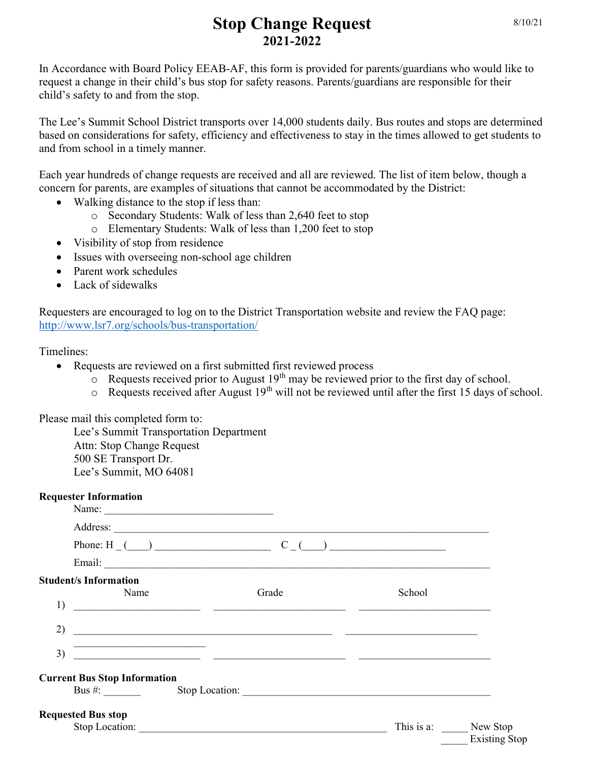## Stop Change Request 2021-2022

In Accordance with Board Policy EEAB-AF, this form is provided for parents/guardians who would like to request a change in their child's bus stop for safety reasons. Parents/guardians are responsible for their child's safety to and from the stop.

The Lee's Summit School District transports over 14,000 students daily. Bus routes and stops are determined based on considerations for safety, efficiency and effectiveness to stay in the times allowed to get students to and from school in a timely manner.

Each year hundreds of change requests are received and all are reviewed. The list of item below, though a concern for parents, are examples of situations that cannot be accommodated by the District:

- Walking distance to the stop if less than:
	- o Secondary Students: Walk of less than 2,640 feet to stop
	- o Elementary Students: Walk of less than 1,200 feet to stop
- Visibility of stop from residence
- Issues with overseeing non-school age children
- Parent work schedules
- Lack of sidewalks

Requesters are encouraged to log on to the District Transportation website and review the FAQ page: http://www.lsr7.org/schools/bus-transportation/

Timelines:

- Requests are reviewed on a first submitted first reviewed process
	- $\overline{\circ}$  Requests received prior to August 19<sup>th</sup> may be reviewed prior to the first day of school.
	- $\circ$  Requests received after August 19<sup>th</sup> will not be reviewed until after the first 15 days of school.

Please mail this completed form to:

Lee's Summit Transportation Department Attn: Stop Change Request 500 SE Transport Dr. Lee's Summit, MO 64081

| <b>Requester Information</b><br>Name:      |                                                                                                                                                                                                                                                                                                                     |        |                                             |
|--------------------------------------------|---------------------------------------------------------------------------------------------------------------------------------------------------------------------------------------------------------------------------------------------------------------------------------------------------------------------|--------|---------------------------------------------|
|                                            |                                                                                                                                                                                                                                                                                                                     |        |                                             |
|                                            | Phone: H $_{\sim}$ ( $_{\sim}$ ) $_{\sim}$ $_{\sim}$ $C_{\sim}$ ( $_{\sim}$ ) $_{\sim}$ $_{\sim}$ $_{\sim}$ $_{\sim}$ $_{\sim}$ $_{\sim}$ $_{\sim}$ $_{\sim}$ $_{\sim}$ $_{\sim}$ $_{\sim}$ $_{\sim}$ $_{\sim}$ $_{\sim}$ $_{\sim}$ $_{\sim}$ $_{\sim}$ $_{\sim}$ $_{\sim}$ $_{\sim}$ $_{\sim}$ $_{\sim}$ $_{\sim}$ |        |                                             |
|                                            |                                                                                                                                                                                                                                                                                                                     |        |                                             |
| <b>Student/s Information</b><br>Name<br>1) | Grade                                                                                                                                                                                                                                                                                                               | School |                                             |
| 2)                                         | <u> Alexandria de la contrada de la contrada de la contrada de la contrada de la contrada de la contrada de la c</u>                                                                                                                                                                                                |        |                                             |
| 3)<br><b>Current Bus Stop Information</b>  |                                                                                                                                                                                                                                                                                                                     |        |                                             |
| <b>Requested Bus stop</b>                  |                                                                                                                                                                                                                                                                                                                     |        | This is a: New Stop<br><b>Existing Stop</b> |